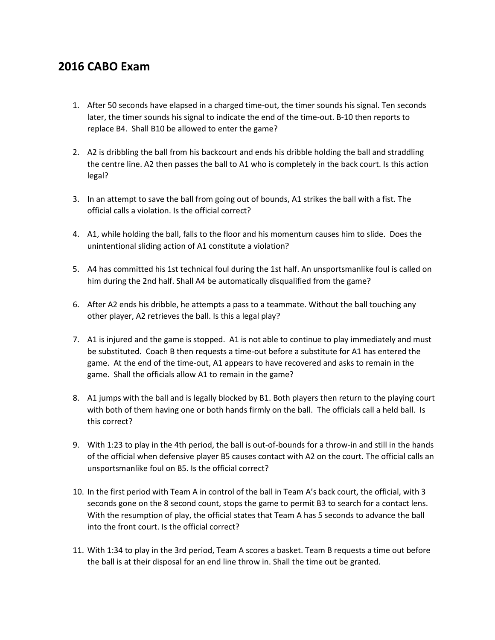## **2016 CABO Exam**

- 1. After 50 seconds have elapsed in a charged time-out, the timer sounds his signal. Ten seconds later, the timer sounds his signal to indicate the end of the time-out. B-10 then reports to replace B4. Shall B10 be allowed to enter the game?
- 2. A2 is dribbling the ball from his backcourt and ends his dribble holding the ball and straddling the centre line. A2 then passes the ball to A1 who is completely in the back court. Is this action legal?
- 3. In an attempt to save the ball from going out of bounds, A1 strikes the ball with a fist. The official calls a violation. Is the official correct?
- 4. A1, while holding the ball, falls to the floor and his momentum causes him to slide. Does the unintentional sliding action of A1 constitute a violation?
- 5. A4 has committed his 1st technical foul during the 1st half. An unsportsmanlike foul is called on him during the 2nd half. Shall A4 be automatically disqualified from the game?
- 6. After A2 ends his dribble, he attempts a pass to a teammate. Without the ball touching any other player, A2 retrieves the ball. Is this a legal play?
- 7. A1 is injured and the game is stopped. A1 is not able to continue to play immediately and must be substituted. Coach B then requests a time-out before a substitute for A1 has entered the game. At the end of the time-out, A1 appears to have recovered and asks to remain in the game. Shall the officials allow A1 to remain in the game?
- 8. A1 jumps with the ball and is legally blocked by B1. Both players then return to the playing court with both of them having one or both hands firmly on the ball. The officials call a held ball. Is this correct?
- 9. With 1:23 to play in the 4th period, the ball is out-of-bounds for a throw-in and still in the hands of the official when defensive player B5 causes contact with A2 on the court. The official calls an unsportsmanlike foul on B5. Is the official correct?
- 10. In the first period with Team A in control of the ball in Team A's back court, the official, with 3 seconds gone on the 8 second count, stops the game to permit B3 to search for a contact lens. With the resumption of play, the official states that Team A has 5 seconds to advance the ball into the front court. Is the official correct?
- 11. With 1:34 to play in the 3rd period, Team A scores a basket. Team B requests a time out before the ball is at their disposal for an end line throw in. Shall the time out be granted.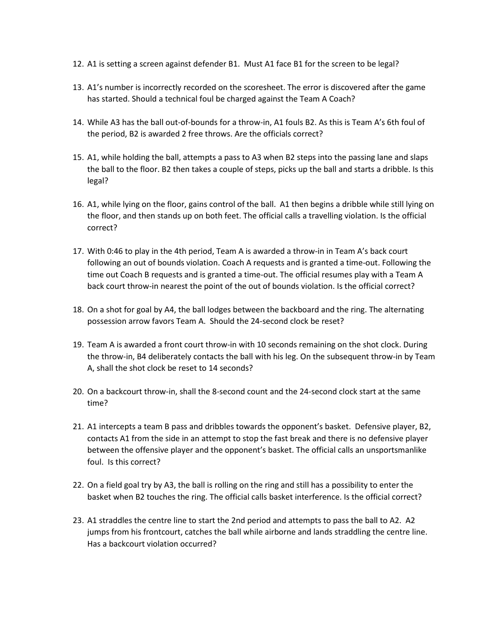- 12. A1 is setting a screen against defender B1. Must A1 face B1 for the screen to be legal?
- 13. A1's number is incorrectly recorded on the scoresheet. The error is discovered after the game has started. Should a technical foul be charged against the Team A Coach?
- 14. While A3 has the ball out-of-bounds for a throw-in, A1 fouls B2. As this is Team A's 6th foul of the period, B2 is awarded 2 free throws. Are the officials correct?
- 15. A1, while holding the ball, attempts a pass to A3 when B2 steps into the passing lane and slaps the ball to the floor. B2 then takes a couple of steps, picks up the ball and starts a dribble. Is this legal?
- 16. A1, while lying on the floor, gains control of the ball. A1 then begins a dribble while still lying on the floor, and then stands up on both feet. The official calls a travelling violation. Is the official correct?
- 17. With 0:46 to play in the 4th period, Team A is awarded a throw-in in Team A's back court following an out of bounds violation. Coach A requests and is granted a time-out. Following the time out Coach B requests and is granted a time-out. The official resumes play with a Team A back court throw-in nearest the point of the out of bounds violation. Is the official correct?
- 18. On a shot for goal by A4, the ball lodges between the backboard and the ring. The alternating possession arrow favors Team A. Should the 24-second clock be reset?
- 19. Team A is awarded a front court throw-in with 10 seconds remaining on the shot clock. During the throw-in, B4 deliberately contacts the ball with his leg. On the subsequent throw-in by Team A, shall the shot clock be reset to 14 seconds?
- 20. On a backcourt throw-in, shall the 8-second count and the 24-second clock start at the same time?
- 21. A1 intercepts a team B pass and dribbles towards the opponent's basket. Defensive player, B2, contacts A1 from the side in an attempt to stop the fast break and there is no defensive player between the offensive player and the opponent's basket. The official calls an unsportsmanlike foul. Is this correct?
- 22. On a field goal try by A3, the ball is rolling on the ring and still has a possibility to enter the basket when B2 touches the ring. The official calls basket interference. Is the official correct?
- 23. A1 straddles the centre line to start the 2nd period and attempts to pass the ball to A2. A2 jumps from his frontcourt, catches the ball while airborne and lands straddling the centre line. Has a backcourt violation occurred?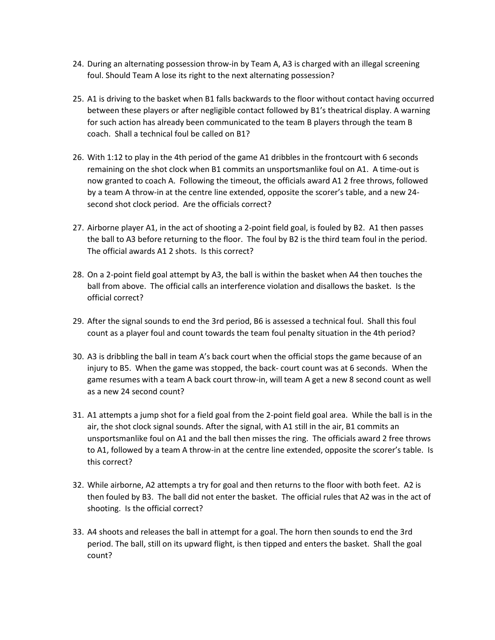- 24. During an alternating possession throw-in by Team A, A3 is charged with an illegal screening foul. Should Team A lose its right to the next alternating possession?
- 25. A1 is driving to the basket when B1 falls backwards to the floor without contact having occurred between these players or after negligible contact followed by B1's theatrical display. A warning for such action has already been communicated to the team B players through the team B coach. Shall a technical foul be called on B1?
- 26. With 1:12 to play in the 4th period of the game A1 dribbles in the frontcourt with 6 seconds remaining on the shot clock when B1 commits an unsportsmanlike foul on A1. A time-out is now granted to coach A. Following the timeout, the officials award A1 2 free throws, followed by a team A throw-in at the centre line extended, opposite the scorer's table, and a new 24 second shot clock period. Are the officials correct?
- 27. Airborne player A1, in the act of shooting a 2-point field goal, is fouled by B2. A1 then passes the ball to A3 before returning to the floor. The foul by B2 is the third team foul in the period. The official awards A1 2 shots. Is this correct?
- 28. On a 2-point field goal attempt by A3, the ball is within the basket when A4 then touches the ball from above. The official calls an interference violation and disallows the basket. Is the official correct?
- 29. After the signal sounds to end the 3rd period, B6 is assessed a technical foul. Shall this foul count as a player foul and count towards the team foul penalty situation in the 4th period?
- 30. A3 is dribbling the ball in team A's back court when the official stops the game because of an injury to B5. When the game was stopped, the back- court count was at 6 seconds. When the game resumes with a team A back court throw-in, will team A get a new 8 second count as well as a new 24 second count?
- 31. A1 attempts a jump shot for a field goal from the 2-point field goal area. While the ball is in the air, the shot clock signal sounds. After the signal, with A1 still in the air, B1 commits an unsportsmanlike foul on A1 and the ball then misses the ring. The officials award 2 free throws to A1, followed by a team A throw-in at the centre line extended, opposite the scorer's table. Is this correct?
- 32. While airborne, A2 attempts a try for goal and then returns to the floor with both feet. A2 is then fouled by B3. The ball did not enter the basket. The official rules that A2 was in the act of shooting. Is the official correct?
- 33. A4 shoots and releases the ball in attempt for a goal. The horn then sounds to end the 3rd period. The ball, still on its upward flight, is then tipped and enters the basket. Shall the goal count?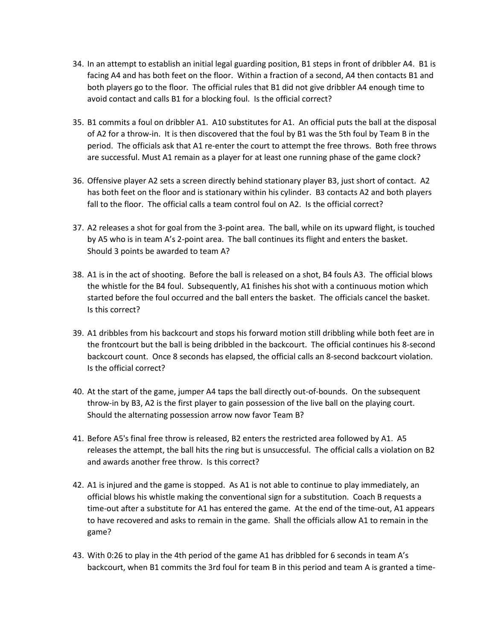- 34. In an attempt to establish an initial legal guarding position, B1 steps in front of dribbler A4. B1 is facing A4 and has both feet on the floor. Within a fraction of a second, A4 then contacts B1 and both players go to the floor. The official rules that B1 did not give dribbler A4 enough time to avoid contact and calls B1 for a blocking foul. Is the official correct?
- 35. B1 commits a foul on dribbler A1. A10 substitutes for A1. An official puts the ball at the disposal of A2 for a throw-in. It is then discovered that the foul by B1 was the 5th foul by Team B in the period. The officials ask that A1 re-enter the court to attempt the free throws. Both free throws are successful. Must A1 remain as a player for at least one running phase of the game clock?
- 36. Offensive player A2 sets a screen directly behind stationary player B3, just short of contact. A2 has both feet on the floor and is stationary within his cylinder. B3 contacts A2 and both players fall to the floor. The official calls a team control foul on A2. Is the official correct?
- 37. A2 releases a shot for goal from the 3-point area. The ball, while on its upward flight, is touched by A5 who is in team A's 2-point area. The ball continues its flight and enters the basket. Should 3 points be awarded to team A?
- 38. A1 is in the act of shooting. Before the ball is released on a shot, B4 fouls A3. The official blows the whistle for the B4 foul. Subsequently, A1 finishes his shot with a continuous motion which started before the foul occurred and the ball enters the basket. The officials cancel the basket. Is this correct?
- 39. A1 dribbles from his backcourt and stops his forward motion still dribbling while both feet are in the frontcourt but the ball is being dribbled in the backcourt. The official continues his 8-second backcourt count. Once 8 seconds has elapsed, the official calls an 8-second backcourt violation. Is the official correct?
- 40. At the start of the game, jumper A4 taps the ball directly out-of-bounds. On the subsequent throw-in by B3, A2 is the first player to gain possession of the live ball on the playing court. Should the alternating possession arrow now favor Team B?
- 41. Before A5's final free throw is released, B2 enters the restricted area followed by A1. A5 releases the attempt, the ball hits the ring but is unsuccessful. The official calls a violation on B2 and awards another free throw. Is this correct?
- 42. A1 is injured and the game is stopped. As A1 is not able to continue to play immediately, an official blows his whistle making the conventional sign for a substitution. Coach B requests a time-out after a substitute for A1 has entered the game. At the end of the time-out, A1 appears to have recovered and asks to remain in the game. Shall the officials allow A1 to remain in the game?
- 43. With 0:26 to play in the 4th period of the game A1 has dribbled for 6 seconds in team A's backcourt, when B1 commits the 3rd foul for team B in this period and team A is granted a time-